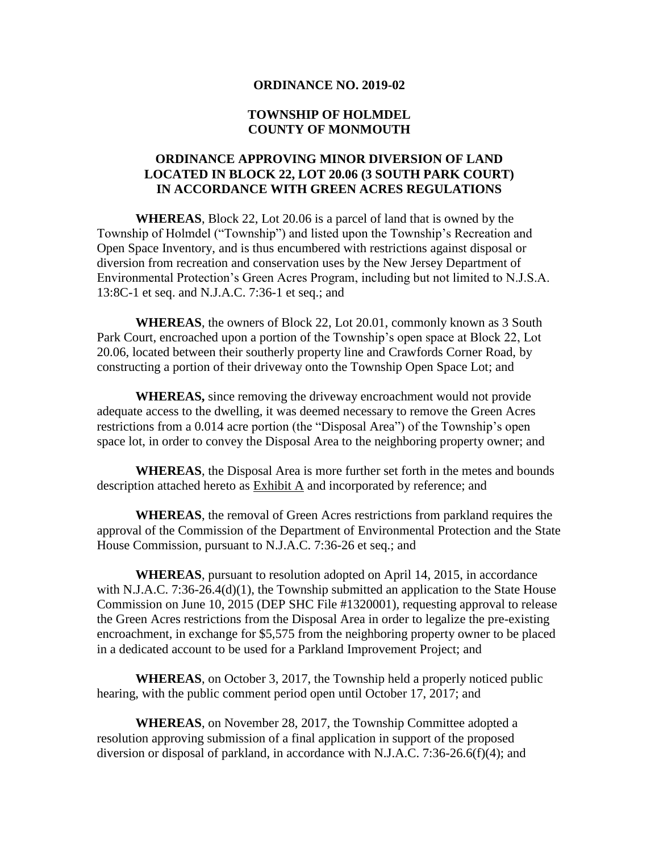#### **ORDINANCE NO. 2019-02**

### **TOWNSHIP OF HOLMDEL COUNTY OF MONMOUTH**

## **ORDINANCE APPROVING MINOR DIVERSION OF LAND LOCATED IN BLOCK 22, LOT 20.06 (3 SOUTH PARK COURT) IN ACCORDANCE WITH GREEN ACRES REGULATIONS**

**WHEREAS**, Block 22, Lot 20.06 is a parcel of land that is owned by the Township of Holmdel ("Township") and listed upon the Township's Recreation and Open Space Inventory, and is thus encumbered with restrictions against disposal or diversion from recreation and conservation uses by the New Jersey Department of Environmental Protection's Green Acres Program, including but not limited to N.J.S.A. 13:8C-1 et seq. and N.J.A.C. 7:36-1 et seq.; and

**WHEREAS**, the owners of Block 22, Lot 20.01, commonly known as 3 South Park Court, encroached upon a portion of the Township's open space at Block 22, Lot 20.06, located between their southerly property line and Crawfords Corner Road, by constructing a portion of their driveway onto the Township Open Space Lot; and

**WHEREAS,** since removing the driveway encroachment would not provide adequate access to the dwelling, it was deemed necessary to remove the Green Acres restrictions from a 0.014 acre portion (the "Disposal Area") of the Township's open space lot, in order to convey the Disposal Area to the neighboring property owner; and

**WHEREAS**, the Disposal Area is more further set forth in the metes and bounds description attached hereto as Exhibit A and incorporated by reference; and

**WHEREAS**, the removal of Green Acres restrictions from parkland requires the approval of the Commission of the Department of Environmental Protection and the State House Commission, pursuant to N.J.A.C. 7:36-26 et seq.; and

**WHEREAS**, pursuant to resolution adopted on April 14, 2015, in accordance with N.J.A.C. 7:36-26.4(d)(1), the Township submitted an application to the State House Commission on June 10, 2015 (DEP SHC File #1320001), requesting approval to release the Green Acres restrictions from the Disposal Area in order to legalize the pre-existing encroachment, in exchange for \$5,575 from the neighboring property owner to be placed in a dedicated account to be used for a Parkland Improvement Project; and

**WHEREAS**, on October 3, 2017, the Township held a properly noticed public hearing, with the public comment period open until October 17, 2017; and

**WHEREAS**, on November 28, 2017, the Township Committee adopted a resolution approving submission of a final application in support of the proposed diversion or disposal of parkland, in accordance with N.J.A.C. 7:36-26.6(f)(4); and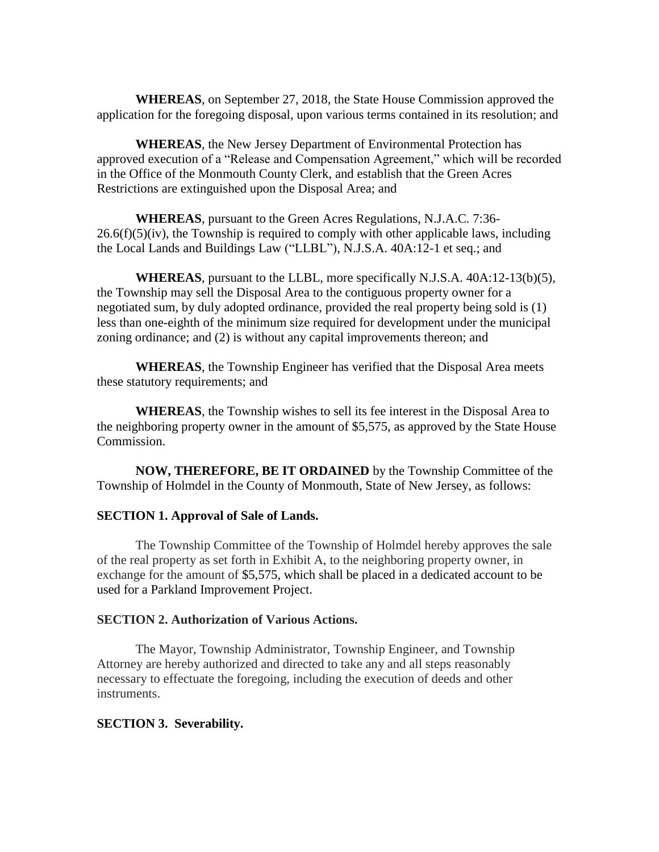**WHEREAS**, on September 27, 2018, the State House Commission approved the application for the foregoing disposal, upon various terms contained in its resolution; and

**WHEREAS**, the New Jersey Department of Environmental Protection has approved execution of a "Release and Compensation Agreement," which will be recorded in the Office of the Monmouth County Clerk, and establish that the Green Acres Restrictions are extinguished upon the Disposal Area; and

**WHEREAS**, pursuant to the Green Acres Regulations, N.J.A.C. 7:36-  $26.6(f)(5)(iv)$ , the Township is required to comply with other applicable laws, including the Local Lands and Buildings Law ("LLBL"), N.J.S.A. 40A:12-1 et seq.; and

**WHEREAS**, pursuant to the LLBL, more specifically N.J.S.A. 40A:12-13(b)(5), the Township may sell the Disposal Area to the contiguous property owner for a negotiated sum, by duly adopted ordinance, provided the real property being sold is (1) less than one-eighth of the minimum size required for development under the municipal zoning ordinance; and (2) is without any capital improvements thereon; and

**WHEREAS**, the Township Engineer has verified that the Disposal Area meets these statutory requirements; and

**WHEREAS**, the Township wishes to sell its fee interest in the Disposal Area to the neighboring property owner in the amount of \$5,575, as approved by the State House Commission.

**NOW, THEREFORE, BE IT ORDAINED** by the Township Committee of the Township of Holmdel in the County of Monmouth, State of New Jersey, as follows:

#### **SECTION 1. Approval of Sale of Lands.**

The Township Committee of the Township of Holmdel hereby approves the sale of the real property as set forth in Exhibit A, to the neighboring property owner, in exchange for the amount of \$5,575, which shall be placed in a dedicated account to be used for a Parkland Improvement Project.

#### **SECTION 2. Authorization of Various Actions.**

The Mayor, Township Administrator, Township Engineer, and Township Attorney are hereby authorized and directed to take any and all steps reasonably necessary to effectuate the foregoing, including the execution of deeds and other instruments.

#### **SECTION 3. Severability.**